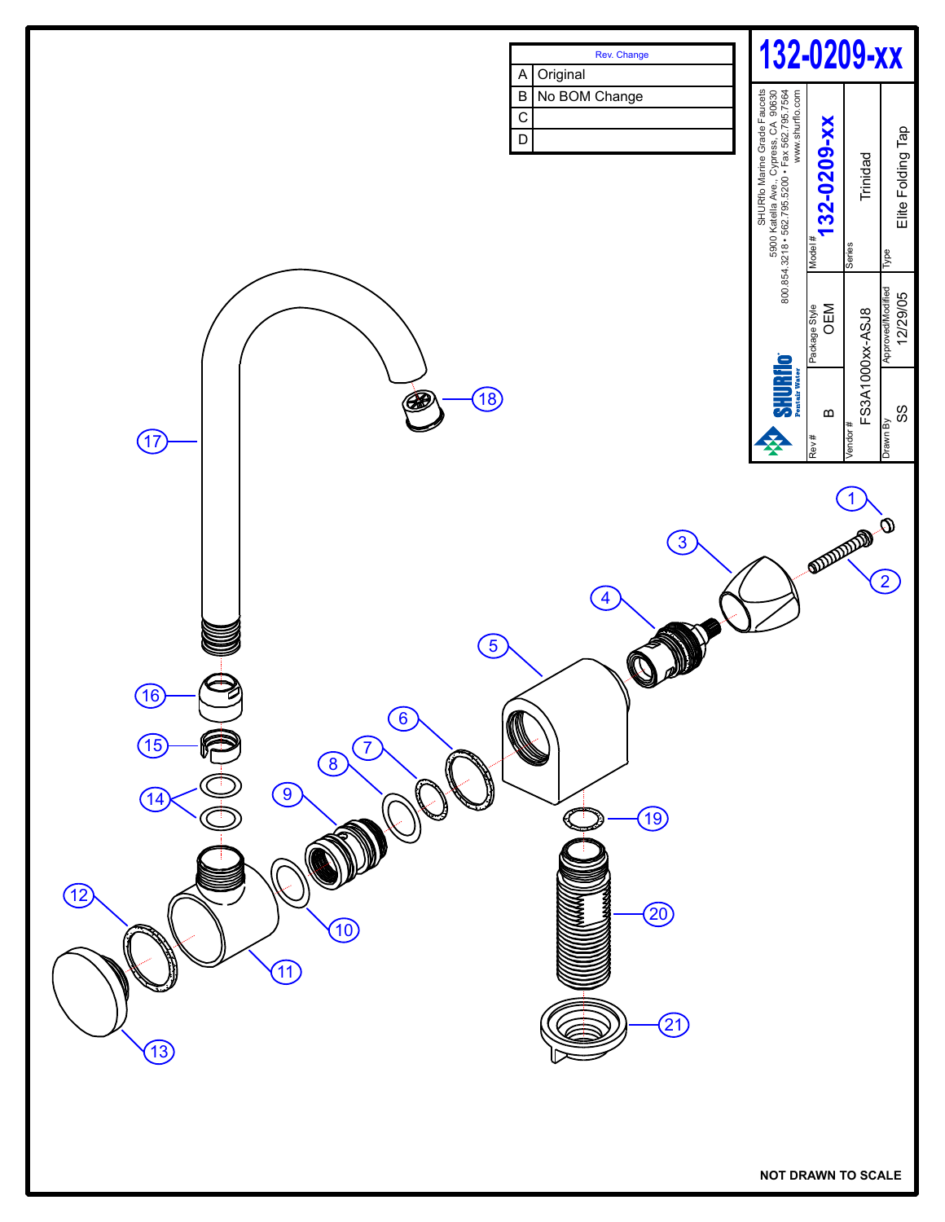